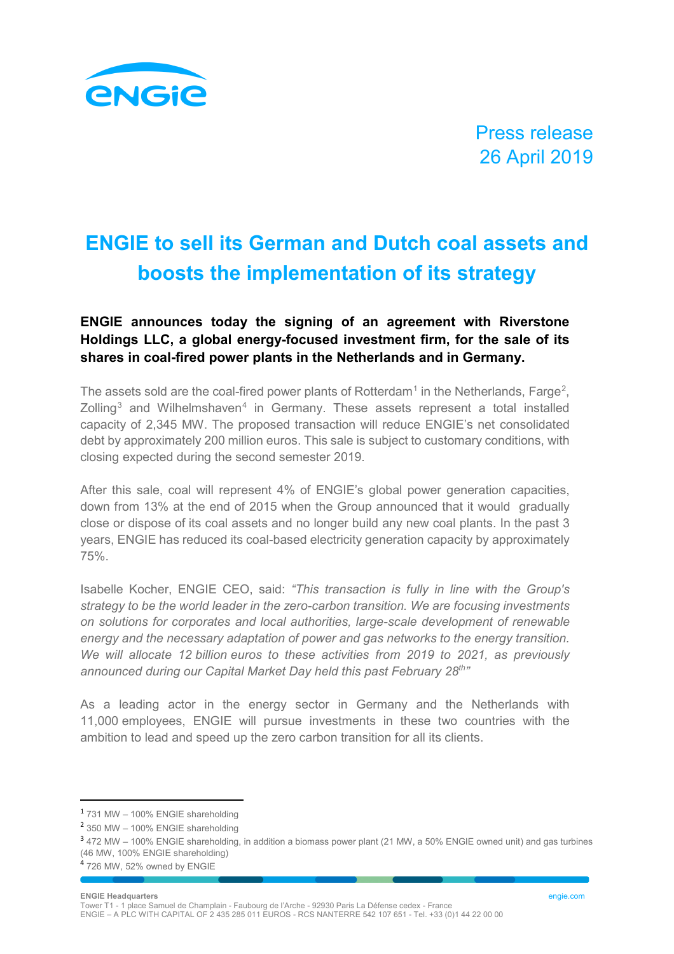

Press release 26 April 2019

## **ENGIE to sell its German and Dutch coal assets and boosts the implementation of its strategy**

## **ENGIE announces today the signing of an agreement with Riverstone Holdings LLC, a global energy-focused investment firm, for the sale of its shares in coal-fired power plants in the Netherlands and in Germany.**

The assets sold are the coal-fired power plants of Rotterdam $^{\rm 1}$  $^{\rm 1}$  $^{\rm 1}$  in the Netherlands, Farge $^{\rm 2}$  $^{\rm 2}$  $^{\rm 2}$ ,  $Z$ olling<sup>[3](#page-0-2)</sup> and Wilhelmshaven<sup>[4](#page-0-3)</sup> in Germany. These assets represent a total installed capacity of 2,345 MW. The proposed transaction will reduce ENGIE's net consolidated debt by approximately 200 million euros. This sale is subject to customary conditions, with closing expected during the second semester 2019.

After this sale, coal will represent 4% of ENGIE's global power generation capacities, down from 13% at the end of 2015 when the Group announced that it would gradually close or dispose of its coal assets and no longer build any new coal plants. In the past 3 years, ENGIE has reduced its coal-based electricity generation capacity by approximately 75%.

Isabelle Kocher, ENGIE CEO, said: *"This transaction is fully in line with the Group's strategy to be the world leader in the zero-carbon transition. We are focusing investments on solutions for corporates and local authorities, large-scale development of renewable energy and the necessary adaptation of power and gas networks to the energy transition. We will allocate 12 billion euros to these activities from 2019 to 2021, as previously announced during our Capital Market Day held this past February 28th"*

As a leading actor in the energy sector in Germany and the Netherlands with 11,000 employees, ENGIE will pursue investments in these two countries with the ambition to lead and speed up the zero carbon transition for all its clients.

## **ENGIE Headquarters** engie.com

Tower T1 - 1 place Samuel de Champlain - Faubourg de l'Arche - 92930 Paris La Défense cedex - France ENGIE – A PLC WITH CAPITAL OF 2 435 285 011 EUROS - RCS NANTERRE 542 107 651 - Tel. +33 (0)1 44 22 00 00

<span id="page-0-0"></span> <sup>1</sup> 731 MW – 100% ENGIE shareholding

<span id="page-0-1"></span><sup>2</sup> 350 MW – 100% ENGIE shareholding

<span id="page-0-2"></span><sup>3</sup> 472 MW – 100% ENGIE shareholding, in addition a biomass power plant (21 MW, a 50% ENGIE owned unit) and gas turbines (46 MW, 100% ENGIE shareholding)

<span id="page-0-3"></span><sup>4</sup> 726 MW, 52% owned by ENGIE